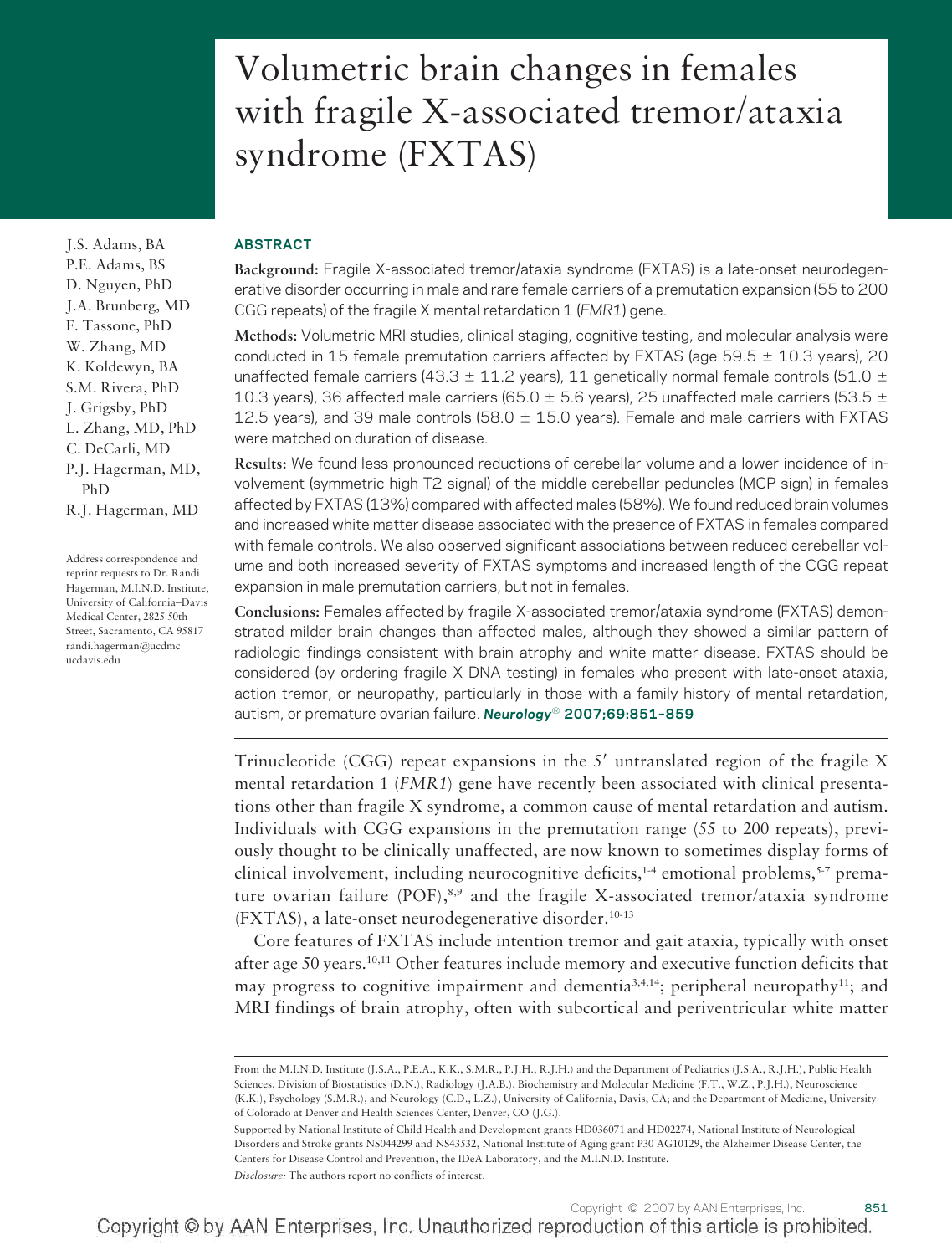## Volumetric brain changes in females with fragile X-associated tremor/ataxia syndrome (FXTAS)

## **ABSTRACT**

**Background:** Fragile X-associated tremor/ataxia syndrome (FXTAS) is a late-onset neurodegenerative disorder occurring in male and rare female carriers of a premutation expansion (55 to 200 CGG repeats) of the fragile X mental retardation 1 (*FMR1*) gene.

**Methods:** Volumetric MRI studies, clinical staging, cognitive testing, and molecular analysis were conducted in 15 female premutation carriers affected by FXTAS (age 59.5  $\pm$  10.3 years), 20 unaffected female carriers (43.3  $\pm$  11.2 years), 11 genetically normal female controls (51.0  $\pm$ 10.3 years), 36 affected male carriers (65.0  $\pm$  5.6 years), 25 unaffected male carriers (53.5  $\pm$ 12.5 years), and 39 male controls (58.0  $\pm$  15.0 years). Female and male carriers with FXTAS were matched on duration of disease.

**Results:** We found less pronounced reductions of cerebellar volume and a lower incidence of involvement (symmetric high T2 signal) of the middle cerebellar peduncles (MCP sign) in females affected by FXTAS (13%) compared with affected males (58%). We found reduced brain volumes and increased white matter disease associated with the presence of FXTAS in females compared with female controls. We also observed significant associations between reduced cerebellar volume and both increased severity of FXTAS symptoms and increased length of the CGG repeat expansion in male premutation carriers, but not in females.

**Conclusions:** Females affected by fragile X-associated tremor/ataxia syndrome (FXTAS) demonstrated milder brain changes than affected males, although they showed a similar pattern of radiologic findings consistent with brain atrophy and white matter disease. FXTAS should be considered (by ordering fragile X DNA testing) in females who present with late-onset ataxia, action tremor, or neuropathy, particularly in those with a family history of mental retardation, autism, or premature ovarian failure. *Neurology*® **2007;69:851–859**

Trinucleotide (CGG) repeat expansions in the  $5'$  untranslated region of the fragile X mental retardation 1 (*FMR1*) gene have recently been associated with clinical presentations other than fragile X syndrome, a common cause of mental retardation and autism. Individuals with CGG expansions in the premutation range (55 to 200 repeats), previously thought to be clinically unaffected, are now known to sometimes display forms of clinical involvement, including neurocognitive deficits,<sup>1-4</sup> emotional problems,<sup>5-7</sup> premature ovarian failure  $(POF)$ ,<sup>8,9</sup> and the fragile X-associated tremor/ataxia syndrome (FXTAS), a late-onset neurodegenerative disorder.10-13

Core features of FXTAS include intention tremor and gait ataxia, typically with onset after age 50 years.10,11 Other features include memory and executive function deficits that may progress to cognitive impairment and dementia<sup>3,4,14</sup>; peripheral neuropathy<sup>11</sup>; and MRI findings of brain atrophy, often with subcortical and periventricular white matter

J.S. Adams, BA P.E. Adams, BS D. Nguyen, PhD J.A. Brunberg, MD F. Tassone, PhD W. Zhang, MD K. Koldewyn, BA S.M. Rivera, PhD J. Grigsby, PhD L. Zhang, MD, PhD C. DeCarli, MD P.J. Hagerman, MD, PhD R.J. Hagerman, MD

Address correspondence and reprint requests to Dr. Randi Hagerman, M.I.N.D. Institute, University of California–Davis Medical Center, 2825 50th Street, Sacramento, CA 95817 randi.hagerman@ucdmc ucdavis.edu

From the M.I.N.D. Institute (J.S.A., P.E.A., K.K., S.M.R., P.J.H., R.J.H.) and the Department of Pediatrics (J.S.A., R.J.H.), Public Health Sciences, Division of Biostatistics (D.N.), Radiology (J.A.B.), Biochemistry and Molecular Medicine (F.T., W.Z., P.J.H.), Neuroscience (K.K.), Psychology (S.M.R.), and Neurology (C.D., L.Z.), University of California, Davis, CA; and the Department of Medicine, University of Colorado at Denver and Health Sciences Center, Denver, CO (J.G.).

Supported by National Institute of Child Health and Development grants HD036071 and HD02274, National Institute of Neurological Disorders and Stroke grants NS044299 and NS43532, National Institute of Aging grant P30 AG10129, the Alzheimer Disease Center, the Centers for Disease Control and Prevention, the IDeA Laboratory, and the M.I.N.D. Institute. *Disclosure:* The authors report no conflicts of interest.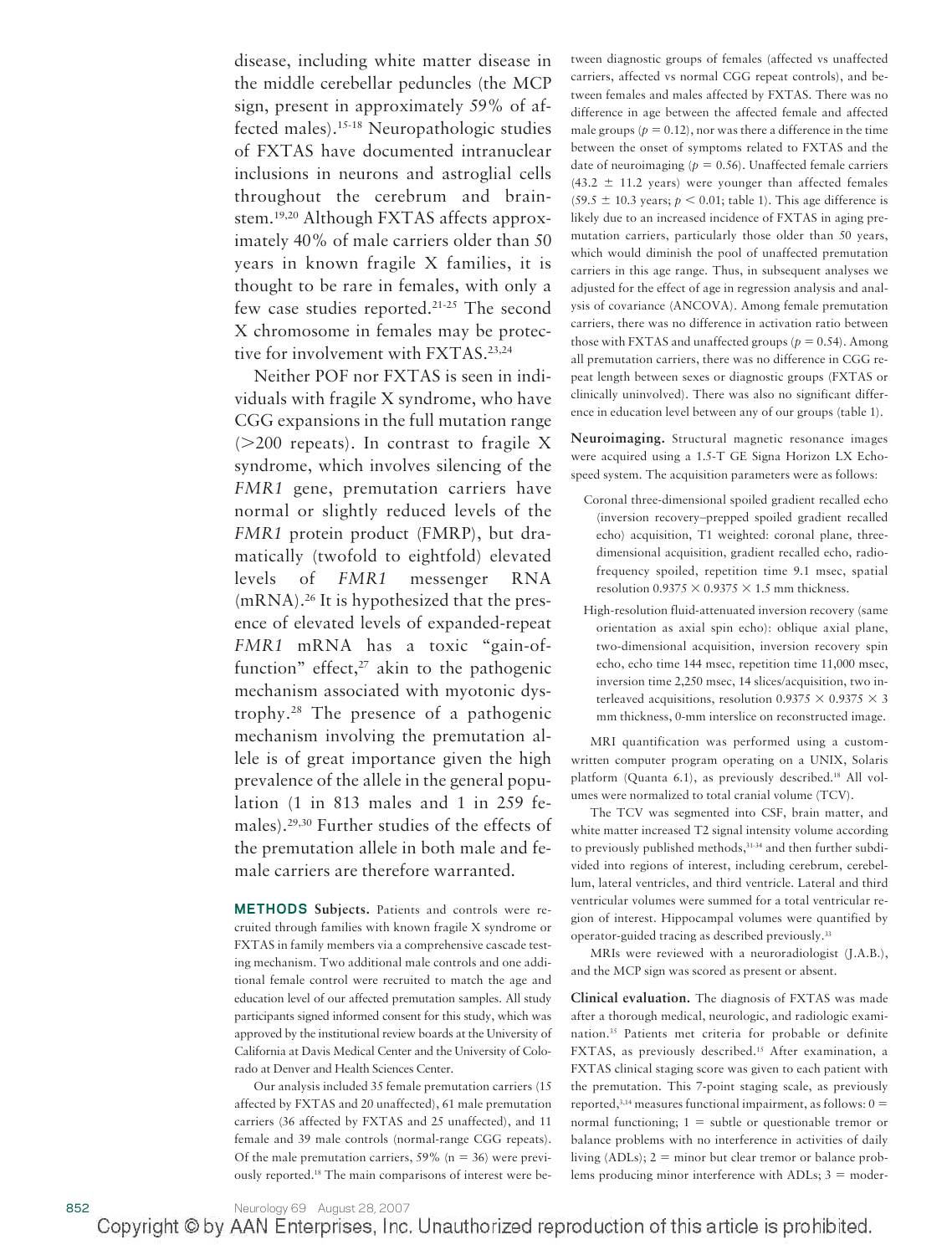disease, including white matter disease in the middle cerebellar peduncles (the MCP sign, present in approximately 59% of affected males).15-18 Neuropathologic studies of FXTAS have documented intranuclear inclusions in neurons and astroglial cells throughout the cerebrum and brainstem.19,20 Although FXTAS affects approximately 40% of male carriers older than 50 years in known fragile X families, it is thought to be rare in females, with only a few case studies reported.21-25 The second X chromosome in females may be protective for involvement with FXTAS.<sup>23,24</sup>

Neither POF nor FXTAS is seen in individuals with fragile X syndrome, who have CGG expansions in the full mutation range (>200 repeats). In contrast to fragile X syndrome, which involves silencing of the *FMR1* gene, premutation carriers have normal or slightly reduced levels of the *FMR1* protein product (FMRP), but dramatically (twofold to eightfold) elevated levels of *FMR1* messenger RNA  $(mRNA)$ .<sup>26</sup> It is hypothesized that the presence of elevated levels of expanded-repeat *FMR1* mRNA has a toxic "gain-offunction" effect, $27$  akin to the pathogenic mechanism associated with myotonic dystrophy.28 The presence of a pathogenic mechanism involving the premutation allele is of great importance given the high prevalence of the allele in the general population (1 in 813 males and 1 in 259 females).29,30 Further studies of the effects of the premutation allele in both male and female carriers are therefore warranted.

**METHODS Subjects.** Patients and controls were recruited through families with known fragile X syndrome or FXTAS in family members via a comprehensive cascade testing mechanism. Two additional male controls and one additional female control were recruited to match the age and education level of our affected premutation samples. All study participants signed informed consent for this study, which was approved by the institutional review boards at the University of California at Davis Medical Center and the University of Colorado at Denver and Health Sciences Center.

Our analysis included 35 female premutation carriers (15 affected by FXTAS and 20 unaffected), 61 male premutation carriers (36 affected by FXTAS and 25 unaffected), and 11 female and 39 male controls (normal-range CGG repeats). Of the male premutation carriers,  $59\%$  (n = 36) were previously reported.18 The main comparisons of interest were between diagnostic groups of females (affected vs unaffected carriers, affected vs normal CGG repeat controls), and between females and males affected by FXTAS. There was no difference in age between the affected female and affected male groups ( $p = 0.12$ ), nor was there a difference in the time between the onset of symptoms related to FXTAS and the date of neuroimaging ( $p = 0.56$ ). Unaffected female carriers  $(43.2 \pm 11.2 \text{ years})$  were younger than affected females (59.5  $\pm$  10.3 years;  $p < 0.01$ ; table 1). This age difference is likely due to an increased incidence of FXTAS in aging premutation carriers, particularly those older than 50 years, which would diminish the pool of unaffected premutation carriers in this age range. Thus, in subsequent analyses we adjusted for the effect of age in regression analysis and analysis of covariance (ANCOVA). Among female premutation carriers, there was no difference in activation ratio between those with FXTAS and unaffected groups ( $p = 0.54$ ). Among all premutation carriers, there was no difference in CGG repeat length between sexes or diagnostic groups (FXTAS or clinically uninvolved). There was also no significant difference in education level between any of our groups (table 1).

**Neuroimaging.** Structural magnetic resonance images were acquired using a 1.5-T GE Signa Horizon LX Echospeed system. The acquisition parameters were as follows:

- Coronal three-dimensional spoiled gradient recalled echo (inversion recovery–prepped spoiled gradient recalled echo) acquisition, T1 weighted: coronal plane, threedimensional acquisition, gradient recalled echo, radiofrequency spoiled, repetition time 9.1 msec, spatial resolution  $0.9375 \times 0.9375 \times 1.5$  mm thickness.
- High-resolution fluid-attenuated inversion recovery (same orientation as axial spin echo): oblique axial plane, two-dimensional acquisition, inversion recovery spin echo, echo time 144 msec, repetition time 11,000 msec, inversion time 2,250 msec, 14 slices/acquisition, two interleaved acquisitions, resolution  $0.9375 \times 0.9375 \times 3$ mm thickness, 0-mm interslice on reconstructed image.

MRI quantification was performed using a customwritten computer program operating on a UNIX, Solaris platform (Quanta 6.1), as previously described.<sup>18</sup> All volumes were normalized to total cranial volume (TCV).

The TCV was segmented into CSF, brain matter, and white matter increased T2 signal intensity volume according to previously published methods,<sup>31-34</sup> and then further subdivided into regions of interest, including cerebrum, cerebellum, lateral ventricles, and third ventricle. Lateral and third ventricular volumes were summed for a total ventricular region of interest. Hippocampal volumes were quantified by operator-guided tracing as described previously.33

MRIs were reviewed with a neuroradiologist (J.A.B.), and the MCP sign was scored as present or absent.

**Clinical evaluation.** The diagnosis of FXTAS was made after a thorough medical, neurologic, and radiologic examination.35 Patients met criteria for probable or definite FXTAS, as previously described.<sup>15</sup> After examination, a FXTAS clinical staging score was given to each patient with the premutation. This 7-point staging scale, as previously reported, $3,14$  measures functional impairment, as follows:  $0 =$ normal functioning;  $1 =$  subtle or questionable tremor or balance problems with no interference in activities of daily living (ADLs); 2 = minor but clear tremor or balance problems producing minor interference with ADLs;  $3 =$  moder-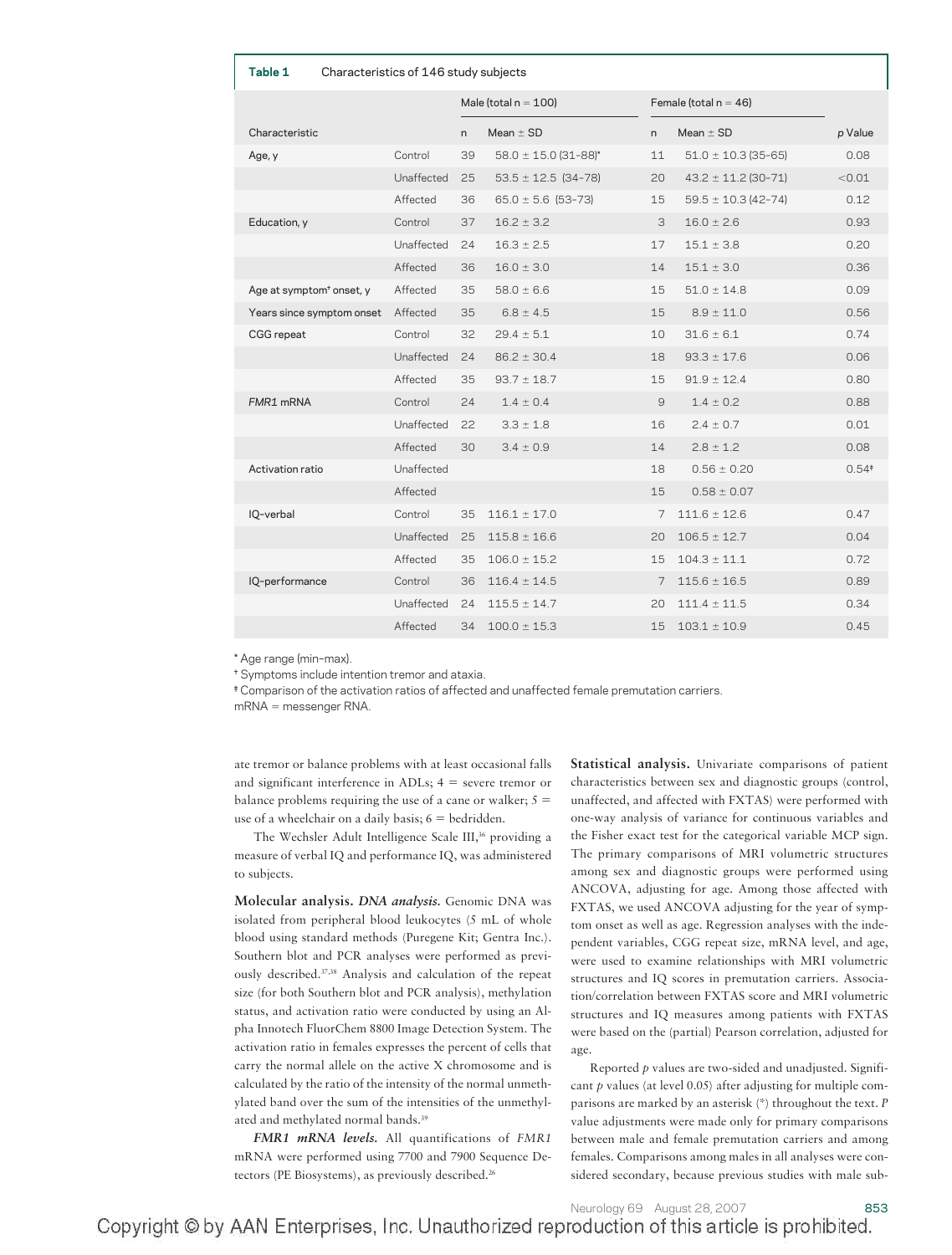| Table 1<br>Characteristics of 146 study subjects |            |                         |                          |                          |                         |         |  |  |
|--------------------------------------------------|------------|-------------------------|--------------------------|--------------------------|-------------------------|---------|--|--|
|                                                  |            | Male (total $n = 100$ ) |                          | Female (total $n = 46$ ) |                         |         |  |  |
| Characteristic                                   |            | n.                      | Mean $\pm$ SD            | n.                       | Mean $\pm$ SD           | p Value |  |  |
| Age, y                                           | Control    | 39                      | $58.0 \pm 15.0$ (31-88)* | 11                       | $51.0 \pm 10.3$ (35-65) | 0.08    |  |  |
|                                                  | Unaffected | 25                      | $53.5 \pm 12.5$ (34-78)  | 20                       | $43.2 \pm 11.2$ (30-71) | < 0.01  |  |  |
|                                                  | Affected   | 36                      | $65.0 \pm 5.6$ (53-73)   | 15                       | $59.5 \pm 10.3$ (42-74) | 0.12    |  |  |
| Education, y                                     | Control    | 37                      | $16.2 \pm 3.2$           | 3                        | $16.0 \pm 2.6$          | 0.93    |  |  |
|                                                  | Unaffected | 24                      | $16.3 \pm 2.5$           | 17                       | $15.1 \pm 3.8$          | 0.20    |  |  |
|                                                  | Affected   | 36                      | $16.0 \pm 3.0$           | 14                       | $15.1 \pm 3.0$          | 0.36    |  |  |
| Age at symptom <sup>+</sup> onset, y             | Affected   | 35                      | $58.0 \pm 6.6$           | 15                       | $51.0 \pm 14.8$         | 0.09    |  |  |
| Years since symptom onset                        | Affected   | 35                      | $6.8 \pm 4.5$            | 15                       | $8.9 \pm 11.0$          | 0.56    |  |  |
| CGG repeat                                       | Control    | 32                      | $29.4 \pm 5.1$           | 10                       | $31.6 \pm 6.1$          | 0.74    |  |  |
|                                                  | Unaffected | 24                      | $86.2 \pm 30.4$          | 18                       | $93.3 \pm 17.6$         | 0.06    |  |  |
|                                                  | Affected   | 35                      | $93.7 \pm 18.7$          | 15                       | $91.9 \pm 12.4$         | 0.80    |  |  |
| FMR1 mRNA                                        | Control    | 24                      | $1.4 \pm 0.4$            | 9                        | $1.4 \pm 0.2$           | 0.88    |  |  |
|                                                  | Unaffected | 22                      | $3.3 \pm 1.8$            | 16                       | $2.4 \pm 0.7$           | 0.01    |  |  |
|                                                  | Affected   | 30                      | $3.4 \pm 0.9$            | 14                       | $2.8 \pm 1.2$           | 0.08    |  |  |
| Activation ratio                                 | Unaffected |                         |                          | 18                       | $0.56 \pm 0.20$         | $0.54*$ |  |  |
|                                                  | Affected   |                         |                          | 15                       | $0.58 \pm 0.07$         |         |  |  |
| IQ-verbal                                        | Control    | 35                      | $116.1 \pm 17.0$         | 7                        | $111.6 \pm 12.6$        | 0.47    |  |  |
|                                                  | Unaffected | 25                      | $115.8 \pm 16.6$         | 20                       | $106.5 \pm 12.7$        | 0.04    |  |  |
|                                                  | Affected   | 35                      | $106.0 \pm 15.2$         | 15                       | $104.3 \pm 11.1$        | 0.72    |  |  |
| IQ-performance                                   | Control    | 36                      | $116.4 \pm 14.5$         | 7                        | $115.6 \pm 16.5$        | 0.89    |  |  |
|                                                  | Unaffected | 24                      | $115.5 \pm 14.7$         | 20                       | $111.4 \pm 11.5$        | 0.34    |  |  |
|                                                  | Affected   | 34                      | $100.0 \pm 15.3$         | 15                       | $103.1 \pm 10.9$        | 0.45    |  |  |

\* Age range (min–max).

† Symptoms include intention tremor and ataxia.

‡ Comparison of the activation ratios of affected and unaffected female premutation carriers.

 $mRNA$  = messenger RNA.

ate tremor or balance problems with at least occasional falls and significant interference in ADLs;  $4 =$  severe tremor or balance problems requiring the use of a cane or walker;  $5 =$ use of a wheelchair on a daily basis;  $6 =$  bedridden.

The Wechsler Adult Intelligence Scale III,<sup>36</sup> providing a measure of verbal IQ and performance IQ, was administered to subjects.

**Molecular analysis.** *DNA analysis.* Genomic DNA was isolated from peripheral blood leukocytes (5 mL of whole blood using standard methods (Puregene Kit; Gentra Inc.). Southern blot and PCR analyses were performed as previously described.37,38 Analysis and calculation of the repeat size (for both Southern blot and PCR analysis), methylation status, and activation ratio were conducted by using an Alpha Innotech FluorChem 8800 Image Detection System. The activation ratio in females expresses the percent of cells that carry the normal allele on the active X chromosome and is calculated by the ratio of the intensity of the normal unmethylated band over the sum of the intensities of the unmethylated and methylated normal bands.<sup>39</sup>

*FMR1 mRNA levels.* All quantifications of *FMR1* mRNA were performed using 7700 and 7900 Sequence Detectors (PE Biosystems), as previously described.<sup>26</sup>

**Statistical analysis.** Univariate comparisons of patient characteristics between sex and diagnostic groups (control, unaffected, and affected with FXTAS) were performed with one-way analysis of variance for continuous variables and the Fisher exact test for the categorical variable MCP sign. The primary comparisons of MRI volumetric structures among sex and diagnostic groups were performed using ANCOVA, adjusting for age. Among those affected with FXTAS, we used ANCOVA adjusting for the year of symptom onset as well as age. Regression analyses with the independent variables, CGG repeat size, mRNA level, and age, were used to examine relationships with MRI volumetric structures and IQ scores in premutation carriers. Association/correlation between FXTAS score and MRI volumetric structures and IQ measures among patients with FXTAS were based on the (partial) Pearson correlation, adjusted for age.

Reported *p* values are two-sided and unadjusted. Significant *p* values (at level 0.05) after adjusting for multiple comparisons are marked by an asterisk (\*) throughout the text. *P* value adjustments were made only for primary comparisons between male and female premutation carriers and among females. Comparisons among males in all analyses were considered secondary, because previous studies with male sub-

Neurology 69 August 28, 2007 853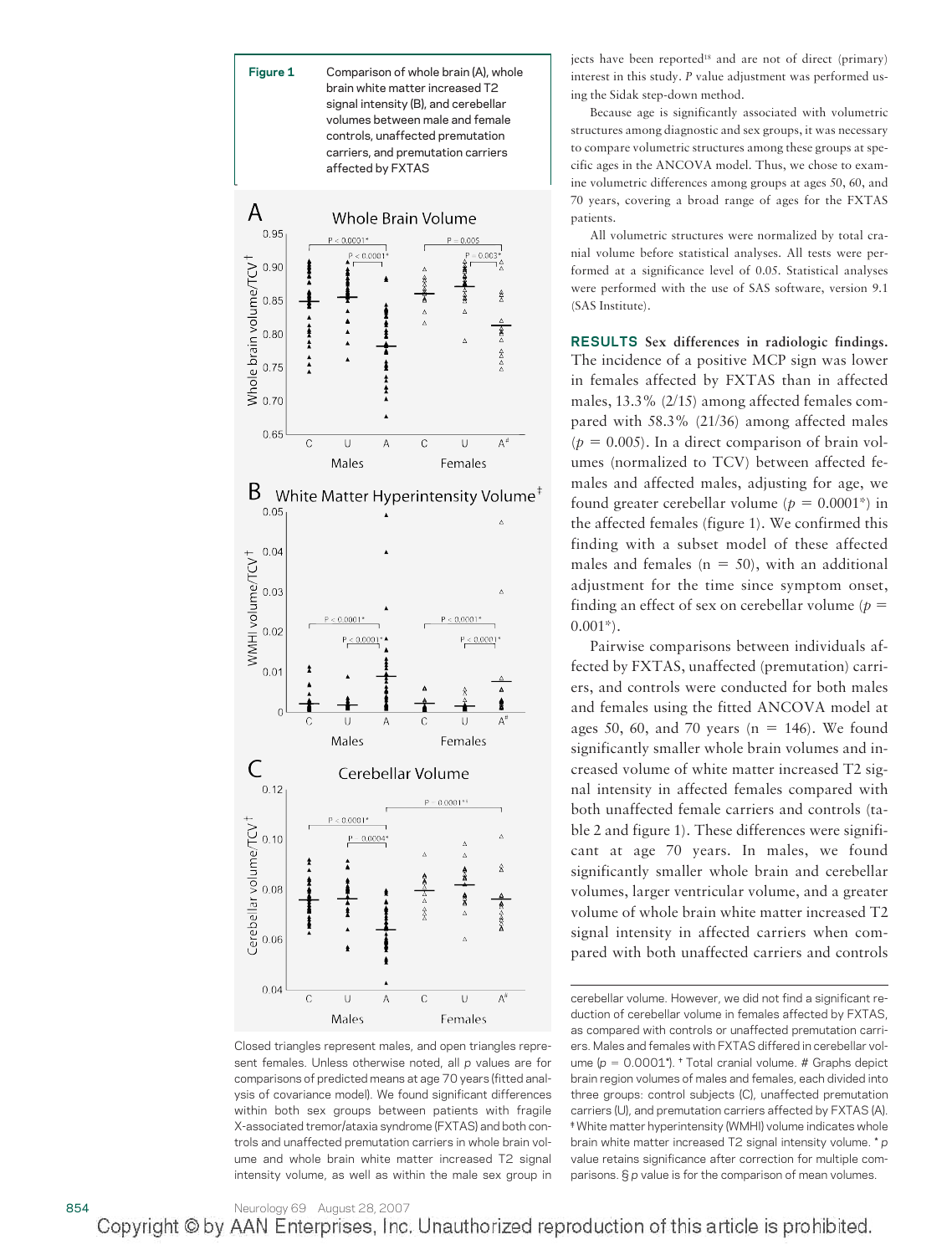

Closed triangles represent males, and open triangles represent females. Unless otherwise noted, all *p* values are for comparisons of predicted means at age 70 years (fitted analysis of covariance model). We found significant differences within both sex groups between patients with fragile X-associated tremor/ataxia syndrome (FXTAS) and both controls and unaffected premutation carriers in whole brain volume and whole brain white matter increased T2 signal intensity volume, as well as within the male sex group in

jects have been reported<sup>18</sup> and are not of direct (primary) interest in this study. *P* value adjustment was performed using the Sidak step-down method.

Because age is significantly associated with volumetric structures among diagnostic and sex groups, it was necessary to compare volumetric structures among these groups at specific ages in the ANCOVA model. Thus, we chose to examine volumetric differences among groups at ages 50, 60, and 70 years, covering a broad range of ages for the FXTAS patients.

All volumetric structures were normalized by total cranial volume before statistical analyses. All tests were performed at a significance level of 0.05. Statistical analyses were performed with the use of SAS software, version 9.1 (SAS Institute).

**RESULTS Sex differences in radiologic findings.** The incidence of a positive MCP sign was lower in females affected by FXTAS than in affected males, 13.3% (2/15) among affected females compared with 58.3% (21/36) among affected males  $(p = 0.005)$ . In a direct comparison of brain volumes (normalized to TCV) between affected females and affected males, adjusting for age, we found greater cerebellar volume ( $p = 0.0001^*$ ) in the affected females (figure 1). We confirmed this finding with a subset model of these affected males and females ( $n = 50$ ), with an additional adjustment for the time since symptom onset, finding an effect of sex on cerebellar volume ( $p =$  $0.001^*$ ).

Pairwise comparisons between individuals affected by FXTAS, unaffected (premutation) carriers, and controls were conducted for both males and females using the fitted ANCOVA model at ages 50, 60, and 70 years ( $n = 146$ ). We found significantly smaller whole brain volumes and increased volume of white matter increased T2 signal intensity in affected females compared with both unaffected female carriers and controls (table 2 and figure 1). These differences were significant at age 70 years. In males, we found significantly smaller whole brain and cerebellar volumes, larger ventricular volume, and a greater volume of whole brain white matter increased T2 signal intensity in affected carriers when compared with both unaffected carriers and controls

cerebellar volume. However, we did not find a significant reduction of cerebellar volume in females affected by FXTAS, as compared with controls or unaffected premutation carriers. Males and females with FXTAS differed in cerebellar volume  $(p = 0.0001^*)$ .  $\dagger$  Total cranial volume. # Graphs depict brain region volumes of males and females, each divided into three groups: control subjects (C), unaffected premutation carriers (U), and premutation carriers affected by FXTAS (A). ‡ White matter hyperintensity (WMHI) volume indicates whole brain white matter increased T2 signal intensity volume. \* *p* value retains significance after correction for multiple comparisons. § *p* value is for the comparison of mean volumes.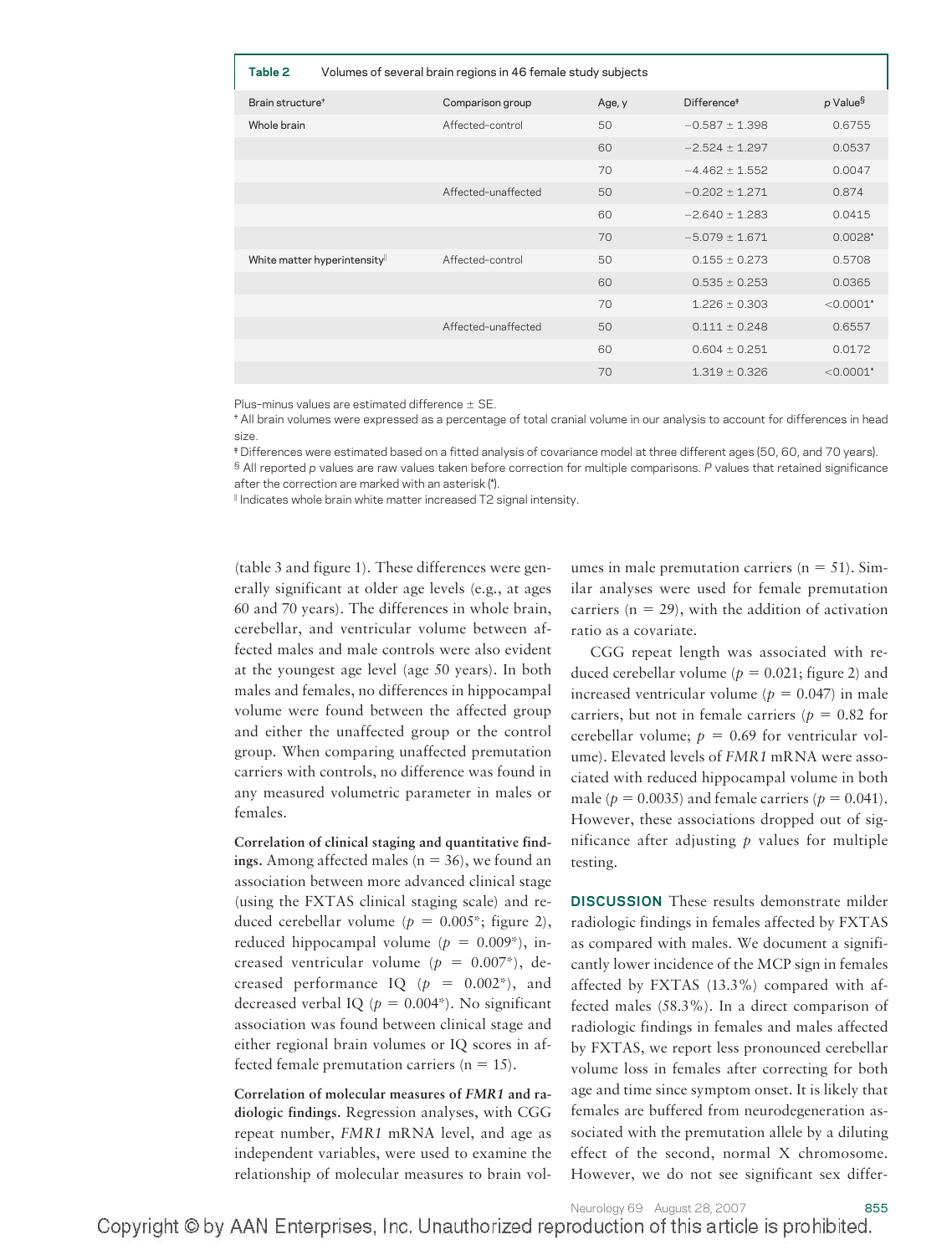| Table 2<br>Volumes of several brain regions in 46 female study subjects |                     |        |                         |                      |  |  |  |  |  |
|-------------------------------------------------------------------------|---------------------|--------|-------------------------|----------------------|--|--|--|--|--|
| Brain structure <sup>+</sup>                                            | Comparison group    | Age, y | Difference <sup>#</sup> | p Value <sup>§</sup> |  |  |  |  |  |
| Whole brain                                                             | Affected-control    | 50     | $-0.587 \pm 1.398$      | 0.6755               |  |  |  |  |  |
|                                                                         |                     | 60     | $-2.524 \pm 1.297$      | 0.0537               |  |  |  |  |  |
|                                                                         |                     | 70     | $-4.462 \pm 1.552$      | 0.0047               |  |  |  |  |  |
|                                                                         | Affected-unaffected | 50     | $-0.202 \pm 1.271$      | 0.874                |  |  |  |  |  |
|                                                                         |                     | 60     | $-2.640 \pm 1.283$      | 0.0415               |  |  |  |  |  |
|                                                                         |                     | 70     | $-5.079 \pm 1.671$      | $0.0028*$            |  |  |  |  |  |
| White matter hyperintensity                                             | Affected-control    | 50     | $0.155 \pm 0.273$       | 0.5708               |  |  |  |  |  |
|                                                                         |                     | 60     | $0.535 \pm 0.253$       | 0.0365               |  |  |  |  |  |
|                                                                         |                     | 70     | $1.226 \pm 0.303$       | $< 0.0001*$          |  |  |  |  |  |
|                                                                         | Affected-unaffected | 50     | $0.111 \pm 0.248$       | 0.6557               |  |  |  |  |  |
|                                                                         |                     | 60     | $0.604 \pm 0.251$       | 0.0172               |  |  |  |  |  |
|                                                                         |                     | 70     | $1.319 \pm 0.326$       | $< 0.0001*$          |  |  |  |  |  |

Plus-minus values are estimated difference  $\pm$  SE.

† All brain volumes were expressed as a percentage of total cranial volume in our analysis to account for differences in head size.

‡ Differences were estimated based on a fitted analysis of covariance model at three different ages (50, 60, and 70 years). § All reported *p* values are raw values taken before correction for multiple comparisons. *P* values that retained significance

after the correction are marked with an asterisk (\*).

Indicates whole brain white matter increased T2 signal intensity.

(table 3 and figure 1). These differences were generally significant at older age levels (e.g., at ages 60 and 70 years). The differences in whole brain, cerebellar, and ventricular volume between affected males and male controls were also evident at the youngest age level (age 50 years). In both males and females, no differences in hippocampal volume were found between the affected group and either the unaffected group or the control group. When comparing unaffected premutation carriers with controls, no difference was found in any measured volumetric parameter in males or females.

**Correlation of clinical staging and quantitative find**ings. Among affected males  $(n = 36)$ , we found an association between more advanced clinical stage (using the FXTAS clinical staging scale) and reduced cerebellar volume ( $p = 0.005^*$ ; figure 2), reduced hippocampal volume  $(p = 0.009^*)$ , increased ventricular volume ( $p = 0.007^*$ ), decreased performance IQ  $(p = 0.002^*)$ , and decreased verbal IQ ( $p = 0.004^*$ ). No significant association was found between clinical stage and either regional brain volumes or IQ scores in affected female premutation carriers ( $n = 15$ ).

**Correlation of molecular measures of** *FMR1* **and radiologic findings.** Regression analyses, with CGG repeat number, *FMR1* mRNA level, and age as independent variables, were used to examine the relationship of molecular measures to brain vol-

umes in male premutation carriers ( $n = 51$ ). Similar analyses were used for female premutation carriers ( $n = 29$ ), with the addition of activation ratio as a covariate.

CGG repeat length was associated with reduced cerebellar volume ( $p = 0.021$ ; figure 2) and increased ventricular volume ( $p = 0.047$ ) in male carriers, but not in female carriers ( $p = 0.82$  for cerebellar volume;  $p = 0.69$  for ventricular volume). Elevated levels of *FMR1* mRNA were associated with reduced hippocampal volume in both male ( $p = 0.0035$ ) and female carriers ( $p = 0.041$ ). However, these associations dropped out of significance after adjusting *p* values for multiple testing.

**DISCUSSION** These results demonstrate milder radiologic findings in females affected by FXTAS as compared with males. We document a significantly lower incidence of the MCP sign in females affected by FXTAS (13.3%) compared with affected males (58.3%). In a direct comparison of radiologic findings in females and males affected by FXTAS, we report less pronounced cerebellar volume loss in females after correcting for both age and time since symptom onset. It is likely that females are buffered from neurodegeneration associated with the premutation allele by a diluting effect of the second, normal X chromosome. However, we do not see significant sex differ-

Neurology 69 August 28, 2007 855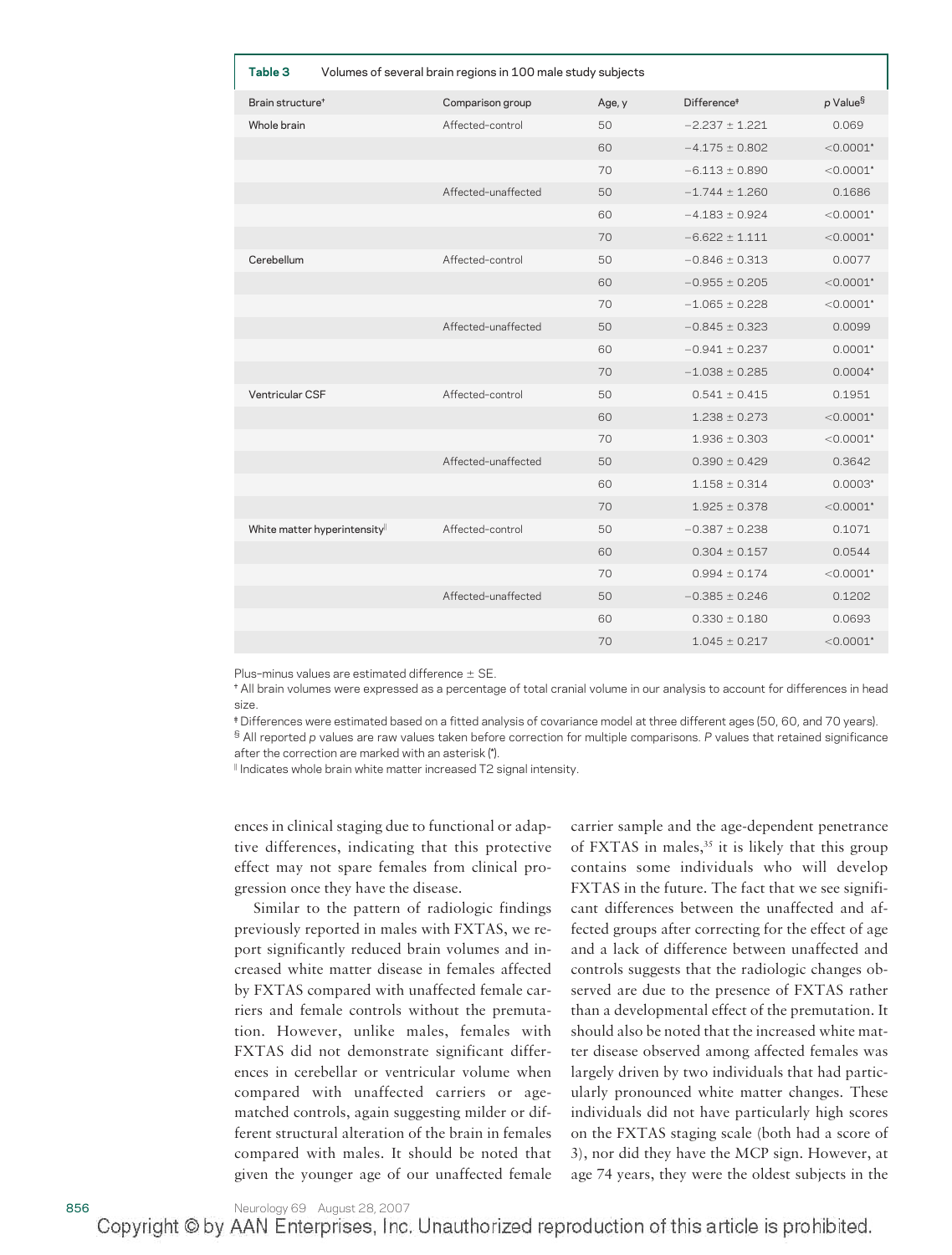| Table 3<br>Volumes of several brain regions in 100 male study subjects |                     |        |                         |                      |  |  |  |  |
|------------------------------------------------------------------------|---------------------|--------|-------------------------|----------------------|--|--|--|--|
| Brain structure <sup>+</sup>                                           | Comparison group    | Age, y | Difference <sup>#</sup> | p Value <sup>§</sup> |  |  |  |  |
| Whole brain                                                            | Affected-control    | 50     | $-2.237 \pm 1.221$      | 0.069                |  |  |  |  |
|                                                                        |                     | 60     | $-4.175 \pm 0.802$      | $<$ 0.0001*          |  |  |  |  |
|                                                                        |                     | 70     | $-6.113 \pm 0.890$      | $<$ 0.0001*          |  |  |  |  |
|                                                                        | Affected-unaffected | 50     | $-1.744 \pm 1.260$      | 0.1686               |  |  |  |  |
|                                                                        |                     | 60     | $-4.183 \pm 0.924$      | $<$ 0.0001*          |  |  |  |  |
|                                                                        |                     | 70     | $-6.622 \pm 1.111$      | $<$ 0.0001*          |  |  |  |  |
| Cerebellum                                                             | Affected-control    | 50     | $-0.846 \pm 0.313$      | 0.0077               |  |  |  |  |
|                                                                        |                     | 60     | $-0.955 \pm 0.205$      | $<$ 0.0001*          |  |  |  |  |
|                                                                        |                     | 70     | $-1.065 \pm 0.228$      | $<$ 0.0001*          |  |  |  |  |
|                                                                        | Affected-unaffected | 50     | $-0.845 \pm 0.323$      | 0.0099               |  |  |  |  |
|                                                                        |                     | 60     | $-0.941 \pm 0.237$      | $0.0001*$            |  |  |  |  |
|                                                                        |                     | 70     | $-1.038 \pm 0.285$      | $0.0004*$            |  |  |  |  |
| Ventricular CSF                                                        | Affected-control    | 50     | $0.541 \pm 0.415$       | 0.1951               |  |  |  |  |
|                                                                        |                     | 60     | $1.238 \pm 0.273$       | $<$ 0.0001*          |  |  |  |  |
|                                                                        |                     | 70     | $1.936 \pm 0.303$       | $<$ 0.0001 $^*$      |  |  |  |  |
|                                                                        | Affected-unaffected | 50     | $0.390 \pm 0.429$       | 0.3642               |  |  |  |  |
|                                                                        |                     | 60     | $1.158 \pm 0.314$       | $0.0003*$            |  |  |  |  |
|                                                                        |                     | 70     | $1.925 \pm 0.378$       | $<$ 0.0001*          |  |  |  |  |
| White matter hyperintensity                                            | Affected-control    | 50     | $-0.387 \pm 0.238$      | 0.1071               |  |  |  |  |
|                                                                        |                     | 60     | $0.304 \pm 0.157$       | 0.0544               |  |  |  |  |
|                                                                        |                     | 70     | $0.994 \pm 0.174$       | $<$ 0.0001*          |  |  |  |  |
|                                                                        | Affected-unaffected | 50     | $-0.385 \pm 0.246$      | 0.1202               |  |  |  |  |
|                                                                        |                     | 60     | $0.330 \pm 0.180$       | 0.0693               |  |  |  |  |
|                                                                        |                     | 70     | $1.045 \pm 0.217$       | $<$ 0.0001*          |  |  |  |  |

Plus-minus values are estimated difference  $\pm$  SE

† All brain volumes were expressed as a percentage of total cranial volume in our analysis to account for differences in head size.

‡ Differences were estimated based on a fitted analysis of covariance model at three different ages (50, 60, and 70 years).

§ All reported *p* values are raw values taken before correction for multiple comparisons. *P* values that retained significance after the correction are marked with an asterisk (\*).

Indicates whole brain white matter increased T2 signal intensity.

ences in clinical staging due to functional or adaptive differences, indicating that this protective effect may not spare females from clinical progression once they have the disease.

Similar to the pattern of radiologic findings previously reported in males with FXTAS, we report significantly reduced brain volumes and increased white matter disease in females affected by FXTAS compared with unaffected female carriers and female controls without the premutation. However, unlike males, females with FXTAS did not demonstrate significant differences in cerebellar or ventricular volume when compared with unaffected carriers or agematched controls, again suggesting milder or different structural alteration of the brain in females compared with males. It should be noted that given the younger age of our unaffected female carrier sample and the age-dependent penetrance of FXTAS in males, $35$  it is likely that this group contains some individuals who will develop FXTAS in the future. The fact that we see significant differences between the unaffected and affected groups after correcting for the effect of age and a lack of difference between unaffected and controls suggests that the radiologic changes observed are due to the presence of FXTAS rather than a developmental effect of the premutation. It should also be noted that the increased white matter disease observed among affected females was largely driven by two individuals that had particularly pronounced white matter changes. These individuals did not have particularly high scores on the FXTAS staging scale (both had a score of 3), nor did they have the MCP sign. However, at age 74 years, they were the oldest subjects in the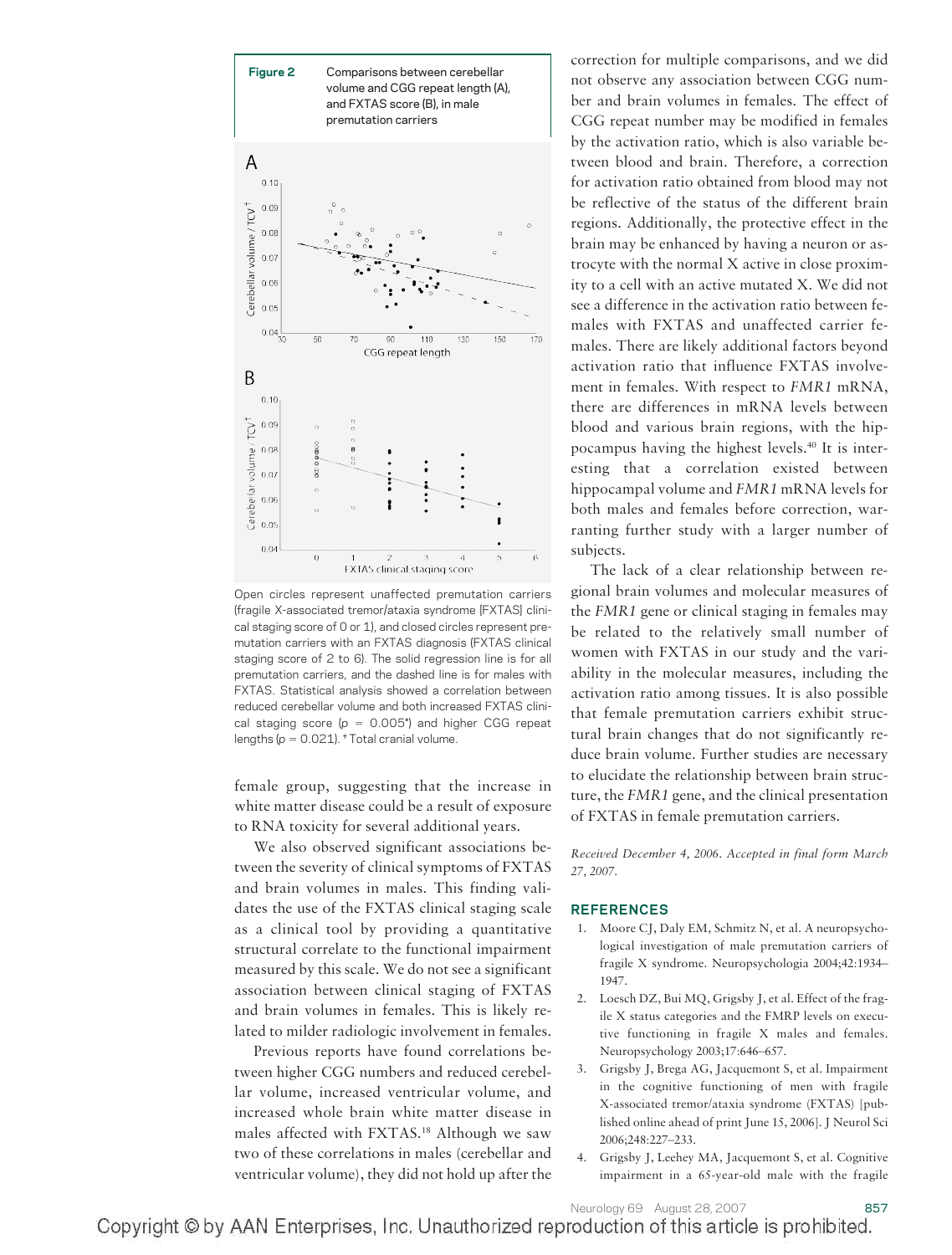

Open circles represent unaffected premutation carriers (fragile X-associated tremor/ataxia syndrome [FXTAS] clinical staging score of 0 or 1), and closed circles represent premutation carriers with an FXTAS diagnosis (FXTAS clinical staging score of 2 to 6). The solid regression line is for all premutation carriers, and the dashed line is for males with FXTAS. Statistical analysis showed a correlation between reduced cerebellar volume and both increased FXTAS clinical staging score  $(p = 0.005^*)$  and higher CGG repeat lengths  $(p = 0.021)$ .  $<sup>+</sup> Total cranial volume$ .</sup>

female group, suggesting that the increase in white matter disease could be a result of exposure to RNA toxicity for several additional years.

We also observed significant associations between the severity of clinical symptoms of FXTAS and brain volumes in males. This finding validates the use of the FXTAS clinical staging scale as a clinical tool by providing a quantitative structural correlate to the functional impairment measured by this scale. We do not see a significant association between clinical staging of FXTAS and brain volumes in females. This is likely related to milder radiologic involvement in females.

Previous reports have found correlations between higher CGG numbers and reduced cerebellar volume, increased ventricular volume, and increased whole brain white matter disease in males affected with FXTAS.<sup>18</sup> Although we saw two of these correlations in males (cerebellar and ventricular volume), they did not hold up after the correction for multiple comparisons, and we did not observe any association between CGG number and brain volumes in females. The effect of CGG repeat number may be modified in females by the activation ratio, which is also variable between blood and brain. Therefore, a correction for activation ratio obtained from blood may not be reflective of the status of the different brain regions. Additionally, the protective effect in the brain may be enhanced by having a neuron or astrocyte with the normal X active in close proximity to a cell with an active mutated X. We did not see a difference in the activation ratio between females with FXTAS and unaffected carrier females. There are likely additional factors beyond activation ratio that influence FXTAS involvement in females. With respect to *FMR1* mRNA, there are differences in mRNA levels between blood and various brain regions, with the hippocampus having the highest levels.40 It is interesting that a correlation existed between hippocampal volume and *FMR1* mRNA levels for both males and females before correction, warranting further study with a larger number of subjects.

The lack of a clear relationship between regional brain volumes and molecular measures of the *FMR1* gene or clinical staging in females may be related to the relatively small number of women with FXTAS in our study and the variability in the molecular measures, including the activation ratio among tissues. It is also possible that female premutation carriers exhibit structural brain changes that do not significantly reduce brain volume. Further studies are necessary to elucidate the relationship between brain structure, the *FMR1* gene, and the clinical presentation of FXTAS in female premutation carriers.

*Received December 4, 2006. Accepted in final form March 27, 2007.*

## **REFERENCES**

- 1. Moore CJ, Daly EM, Schmitz N, et al. A neuropsychological investigation of male premutation carriers of fragile X syndrome. Neuropsychologia 2004;42:1934– 1947.
- 2. Loesch DZ, Bui MQ, Grigsby J, et al. Effect of the fragile X status categories and the FMRP levels on executive functioning in fragile X males and females. Neuropsychology 2003;17:646–657.
- 3. Grigsby J, Brega AG, Jacquemont S, et al. Impairment in the cognitive functioning of men with fragile X-associated tremor/ataxia syndrome (FXTAS) [published online ahead of print June 15, 2006]. J Neurol Sci 2006;248:227–233.
- 4. Grigsby J, Leehey MA, Jacquemont S, et al. Cognitive impairment in a 65-year-old male with the fragile

Neurology 69 August 28, 2007 857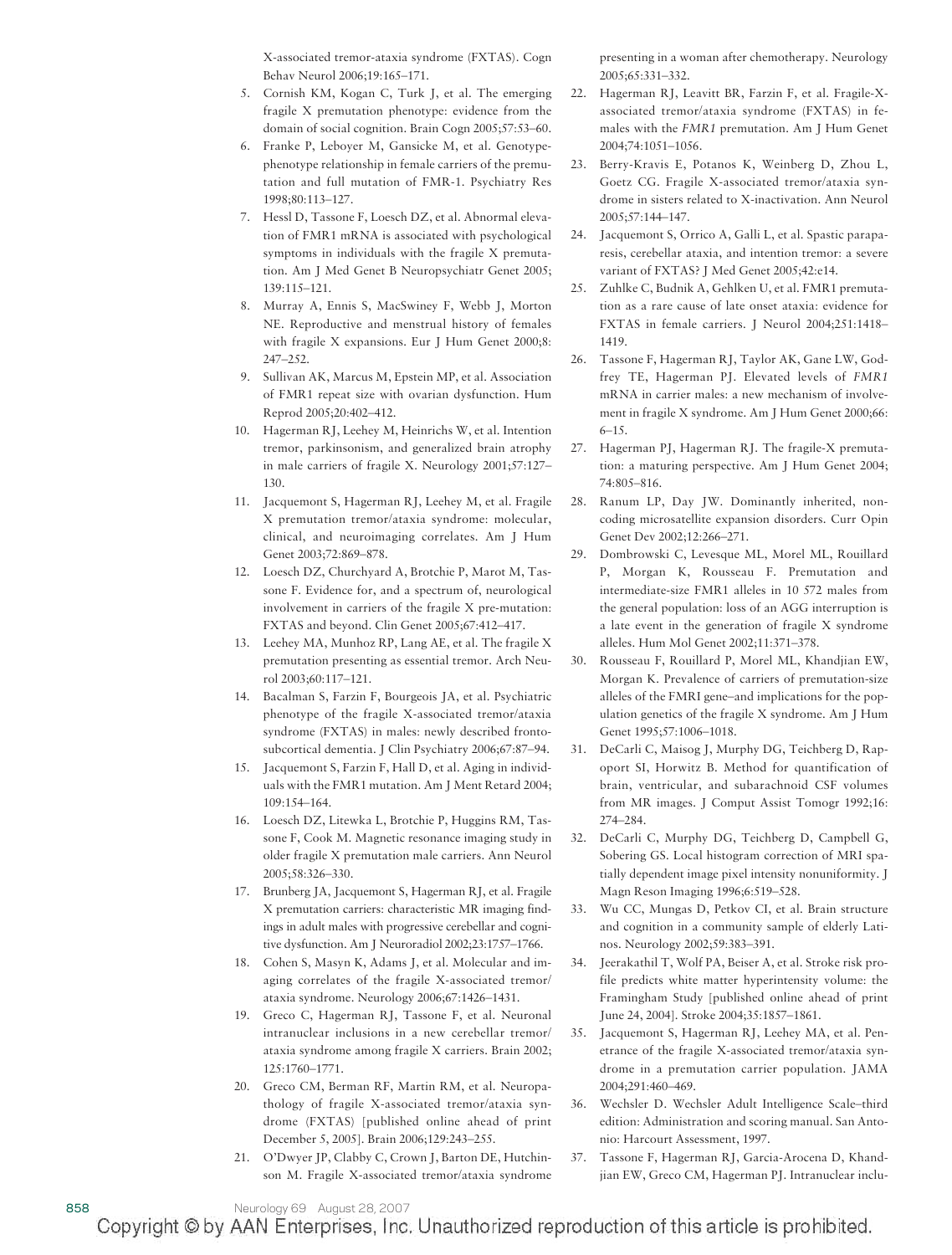X-associated tremor-ataxia syndrome (FXTAS). Cogn Behav Neurol 2006;19:165–171.

- 5. Cornish KM, Kogan C, Turk J, et al. The emerging fragile X premutation phenotype: evidence from the domain of social cognition. Brain Cogn 2005;57:53–60.
- 6. Franke P, Leboyer M, Gansicke M, et al. Genotypephenotype relationship in female carriers of the premutation and full mutation of FMR-1. Psychiatry Res 1998;80:113–127.
- 7. Hessl D, Tassone F, Loesch DZ, et al. Abnormal elevation of FMR1 mRNA is associated with psychological symptoms in individuals with the fragile X premutation. Am J Med Genet B Neuropsychiatr Genet 2005; 139:115–121.
- 8. Murray A, Ennis S, MacSwiney F, Webb J, Morton NE. Reproductive and menstrual history of females with fragile X expansions. Eur J Hum Genet 2000;8: 247–252.
- 9. Sullivan AK, Marcus M, Epstein MP, et al. Association of FMR1 repeat size with ovarian dysfunction. Hum Reprod 2005;20:402–412.
- 10. Hagerman RJ, Leehey M, Heinrichs W, et al. Intention tremor, parkinsonism, and generalized brain atrophy in male carriers of fragile X. Neurology 2001;57:127– 130.
- 11. Jacquemont S, Hagerman RJ, Leehey M, et al. Fragile X premutation tremor/ataxia syndrome: molecular, clinical, and neuroimaging correlates. Am J Hum Genet 2003;72:869–878.
- 12. Loesch DZ, Churchyard A, Brotchie P, Marot M, Tassone F. Evidence for, and a spectrum of, neurological involvement in carriers of the fragile X pre-mutation: FXTAS and beyond. Clin Genet 2005;67:412–417.
- 13. Leehey MA, Munhoz RP, Lang AE, et al. The fragile X premutation presenting as essential tremor. Arch Neurol 2003;60:117–121.
- 14. Bacalman S, Farzin F, Bourgeois JA, et al. Psychiatric phenotype of the fragile X-associated tremor/ataxia syndrome (FXTAS) in males: newly described frontosubcortical dementia. J Clin Psychiatry 2006;67:87–94.
- 15. Jacquemont S, Farzin F, Hall D, et al. Aging in individuals with the FMR1 mutation. Am J Ment Retard 2004; 109:154–164.
- 16. Loesch DZ, Litewka L, Brotchie P, Huggins RM, Tassone F, Cook M. Magnetic resonance imaging study in older fragile X premutation male carriers. Ann Neurol 2005;58:326–330.
- 17. Brunberg JA, Jacquemont S, Hagerman RJ, et al. Fragile X premutation carriers: characteristic MR imaging findings in adult males with progressive cerebellar and cognitive dysfunction. Am J Neuroradiol 2002;23:1757–1766.
- 18. Cohen S, Masyn K, Adams J, et al. Molecular and imaging correlates of the fragile X-associated tremor/ ataxia syndrome. Neurology 2006;67:1426–1431.
- 19. Greco C, Hagerman RJ, Tassone F, et al. Neuronal intranuclear inclusions in a new cerebellar tremor/ ataxia syndrome among fragile X carriers. Brain 2002; 125:1760–1771.
- 20. Greco CM, Berman RF, Martin RM, et al. Neuropathology of fragile X-associated tremor/ataxia syndrome (FXTAS) [published online ahead of print December 5, 2005]. Brain 2006;129:243–255.
- 21. O'Dwyer JP, Clabby C, Crown J, Barton DE, Hutchinson M. Fragile X-associated tremor/ataxia syndrome

presenting in a woman after chemotherapy. Neurology 2005;65:331–332.

- 22. Hagerman RJ, Leavitt BR, Farzin F, et al. Fragile-Xassociated tremor/ataxia syndrome (FXTAS) in females with the *FMR1* premutation. Am J Hum Genet 2004;74:1051–1056.
- 23. Berry-Kravis E, Potanos K, Weinberg D, Zhou L, Goetz CG. Fragile X-associated tremor/ataxia syndrome in sisters related to X-inactivation. Ann Neurol 2005;57:144–147.
- 24. Jacquemont S, Orrico A, Galli L, et al. Spastic paraparesis, cerebellar ataxia, and intention tremor: a severe variant of FXTAS? J Med Genet 2005;42:e14.
- 25. Zuhlke C, Budnik A, Gehlken U, et al. FMR1 premutation as a rare cause of late onset ataxia: evidence for FXTAS in female carriers. J Neurol 2004;251:1418– 1419.
- 26. Tassone F, Hagerman RJ, Taylor AK, Gane LW, Godfrey TE, Hagerman PJ. Elevated levels of *FMR1* mRNA in carrier males: a new mechanism of involvement in fragile X syndrome. Am J Hum Genet 2000;66: 6–15.
- 27. Hagerman PJ, Hagerman RJ. The fragile-X premutation: a maturing perspective. Am J Hum Genet 2004; 74:805–816.
- 28. Ranum LP, Day JW. Dominantly inherited, noncoding microsatellite expansion disorders. Curr Opin Genet Dev 2002;12:266–271.
- 29. Dombrowski C, Levesque ML, Morel ML, Rouillard P, Morgan K, Rousseau F. Premutation and intermediate-size FMR1 alleles in 10 572 males from the general population: loss of an AGG interruption is a late event in the generation of fragile X syndrome alleles. Hum Mol Genet 2002;11:371–378.
- 30. Rousseau F, Rouillard P, Morel ML, Khandjian EW, Morgan K. Prevalence of carriers of premutation-size alleles of the FMRI gene–and implications for the population genetics of the fragile X syndrome. Am J Hum Genet 1995;57:1006–1018.
- 31. DeCarli C, Maisog J, Murphy DG, Teichberg D, Rapoport SI, Horwitz B. Method for quantification of brain, ventricular, and subarachnoid CSF volumes from MR images. J Comput Assist Tomogr 1992;16: 274–284.
- 32. DeCarli C, Murphy DG, Teichberg D, Campbell G, Sobering GS. Local histogram correction of MRI spatially dependent image pixel intensity nonuniformity. J Magn Reson Imaging 1996;6:519–528.
- 33. Wu CC, Mungas D, Petkov CI, et al. Brain structure and cognition in a community sample of elderly Latinos. Neurology 2002;59:383–391.
- 34. Jeerakathil T, Wolf PA, Beiser A, et al. Stroke risk profile predicts white matter hyperintensity volume: the Framingham Study [published online ahead of print June 24, 2004]. Stroke 2004;35:1857–1861.
- 35. Jacquemont S, Hagerman RJ, Leehey MA, et al. Penetrance of the fragile X-associated tremor/ataxia syndrome in a premutation carrier population. JAMA 2004;291:460–469.
- 36. Wechsler D. Wechsler Adult Intelligence Scale–third edition: Administration and scoring manual. San Antonio: Harcourt Assessment, 1997.
- 37. Tassone F, Hagerman RJ, Garcia-Arocena D, Khandjian EW, Greco CM, Hagerman PJ. Intranuclear inclu-

858 Neurology 69 August 28, 2007